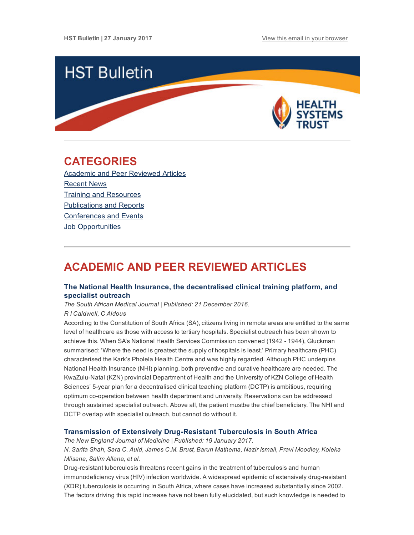

## <span id="page-0-1"></span>CATEGORIES

Academic and Peer [Reviewed](#page-0-0) Articles [Recent](#page-2-0) News Training and [Resources](#page-3-0) [Publications](#page-4-0) and Reports [Conferences](#page-4-1) and Events **Job [Opportunities](#page-5-0)** 

# <span id="page-0-0"></span>ACADEMIC AND PEER REVIEWED ARTICLES

## The National Health Insurance, the [decentralised](http://www.samj.org.za/index.php/samj/article/view/11767/7915) clinical training platform, and specialist outreach

The South African Medical Journal | Published: 21 December 2016.

#### R I Caldwell, C Aldous

According to the Constitution of South Africa (SA), citizens living in remote areas are entitled to the same level of healthcare as those with access to tertiary hospitals. Specialist outreach has been shown to achieve this. When SA's National Health Services Commission convened (1942 - 1944), Gluckman summarised: 'Where the need is greatest the supply of hospitals is least.' Primary healthcare (PHC) characterised the Kark's Pholela Health Centre and was highly regarded. Although PHC underpins National Health Insurance (NHI) planning, both preventive and curative healthcare are needed. The KwaZulu-Natal (KZN) provincial Department of Health and the University of KZN College of Health Sciences' 5-year plan for a decentralised clinical teaching platform (DCTP) is ambitious, requiring optimum co-operation between health department and university. Reservations can be addressed through sustained specialist outreach. Above all, the patient mustbe the chief beneficiary. The NHI and DCTP overlap with specialist outreach, but cannot do without it.

### Transmission of Extensively Drug-Resistant Tuberculosis in South Africa

The New England Journal of Medicine | Published: 19 January 2017.

N. Sarita Shah, Sara C. Auld, James C.M. Brust, Barun Mathema, Nazir Ismail, Pravi Moodley, Koleka Mlisana, Salim Allana, et al.

Drug-resistant tuberculosis threatens recent gains in the treatment of tuberculosis and human immunodeficiency virus (HIV) infection worldwide. A widespread epidemic of extensively drug-resistant (XDR) tuberculosis is occurring in South Africa, where cases have increased substantially since 2002. The factors driving this rapid increase have not been fully elucidated, but such knowledge is needed to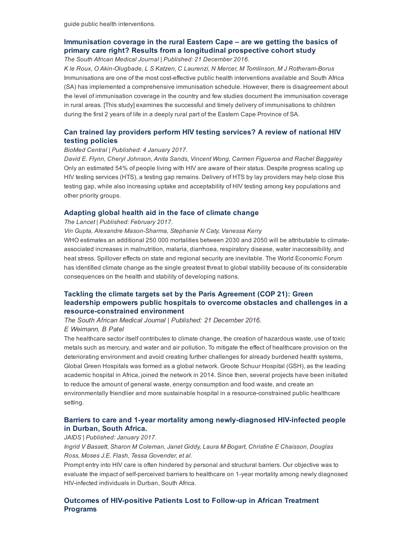## [Immunisation](http://www.samj.org.za/index.php/samj/article/view/11760/7908) coverage in the rural Eastern Cape – are we getting the basics of primary care right? Results from a longitudinal prospective cohort study

The South African Medical Journal | Published: 21 December 2016.

K le Roux, O Akin-Olugbade, L S Katzen, C Laurenzi, N Mercer, M Tomlinson, M J Rotheram-Borus Immunisations are one of the most costeffective public health interventions available and South Africa (SA) has implemented a comprehensive immunisation schedule. However, there is disagreement about the level of immunisation coverage in the country and few studies document the immunisation coverage in rural areas. [This study] examines the successful and timely delivery of immunisations to children during the first 2 years of life in a deeply rural part of the Eastern Cape Province of SA.

## Can trained lay providers perform HIV testing [services?](https://bmcresnotes.biomedcentral.com/articles/10.1186/s13104-016-2339-1) A review of national HIV testing policies

#### BioMed Central | Published: 4 January 2017.

David E. Flynn, Cheryl Johnson, Anita Sands, Vincent Wong, Carmen Figueroa and Rachel Baggaley Only an estimated 54% of people living with HIV are aware of their status. Despite progress scaling up HIV testing services (HTS), a testing gap remains. Delivery of HTS by lay providers may help close this testing gap, while also increasing uptake and acceptability of HIV testing among key populations and other priority groups.

#### [Adapting](http://www.thelancet.com/journals/langlo/article/PIIS2214-109X(17)30002-5/fulltext) global health aid in the face of climate change

#### The Lancet | Published: February 2017.

Vin Gupta, Alexandre Mason-Sharma, Stephanie N Caty, Vanessa Kerry

WHO estimates an additional 250 000 mortalities between 2030 and 2050 will be attributable to climateassociated increases in malnutrition, malaria, diarrhoea, respiratory disease, water inaccessibility, and heat stress. Spillover effects on state and regional security are inevitable. The World Economic Forum has identified climate change as the single greatest threat to global stability because of its considerable consequences on the health and stability of developing nations.

## Tackling the climate targets set by the Paris Agreement (COP 21): Green leadership empowers public hospitals to overcome obstacles and challenges in a resource-constrained environment

The South African Medical Journal | Published: 21 December 2016. E Weimann, B Patel

The healthcare sector itself contributes to climate change, the creation of hazardous waste, use of toxic metals such as mercury, and water and air pollution. To mitigate the effect of healthcare provision on the deteriorating environment and avoid creating further challenges for already burdened health systems, Global Green Hospitals was formed as a global network. Groote Schuur Hospital (GSH), as the leading academic hospital in Africa, joined the network in 2014. Since then, several projects have been initiated to reduce the amount of general waste, energy consumption and food waste, and create an environmentally friendlier and more sustainable hospital in a resource-constrained public healthcare setting.

## Barriers to care and 1-year mortality among newly-diagnosed HIV-infected people in Durban, South Africa.

#### JAIDS | Published: January 2017.

Ingrid V Bassett, Sharon M Coleman, Janet Giddy, Laura M Bogart, Christine E Chaisson, Douglas Ross, Moses J.E. Flash, Tessa Govender, et al.

Prompt entry into HIV care is often hindered by personal and structural barriers. Our objective was to evaluate the impact of self-perceived barriers to healthcare on 1-year mortality among newly diagnosed HIV-infected individuals in Durban, South Africa.

Outcomes of HIV-positive Patients Lost to Follow-up in African Treatment Programs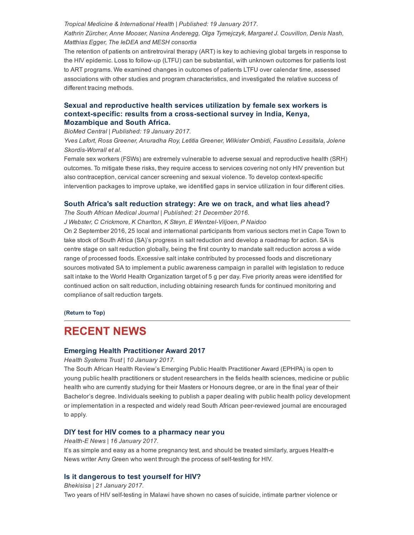## Tropical Medicine & International Health | Published: 19 January 2017. Kathrin Zürcher, Anne Mooser, Nanina Anderegg, Olga Tymejczyk, Margaret J. Couvillon, Denis Nash, Matthias Egger, The IeDEA and MESH consortia

The retention of patients on antiretroviral therapy (ART) is key to achieving global targets in response to the HIV epidemic. Loss to follow-up (LTFU) can be substantial, with unknown outcomes for patients lost to ART programs. We examined changes in outcomes of patients LTFU over calendar time, assessed associations with other studies and program characteristics, and investigated the relative success of different tracing methods.

## Sexual and reproductive health services utilization by female sex workers is context-specific: results from a cross-sectional survey in India, Kenya, Mozambique and South Africa.

BioMed Central | Published: 19 January 2017.

Yves Lafort, Ross Greener, Anuradha Roy, Letitia Greener, Wilkister Ombidi, Faustino Lessitala, Jolene Skordis-Worrall et al.

Female sex workers (FSWs) are extremely vulnerable to adverse sexual and reproductive health (SRH) outcomes. To mitigate these risks, they require access to services covering not only HIV prevention but also contraception, cervical cancer screening and sexual violence. To develop context-specific intervention packages to improve uptake, we identified gaps in service utilization in four different cities.

### South Africa's salt [reduction](http://www.samj.org.za/index.php/samj/article/view/11773/7921) strategy: Are we on track, and what lies ahead?

The South African Medical Journal | Published: 21 December 2016.

J Webster, C Crickmore, K Charlton, K Steyn, E Wentzel-Viljoen, P Naidoo

On 2 September 2016, 25 local and international participants from various sectors met in Cape Town to take stock of South Africa (SA)'s progress in salt reduction and develop a roadmap for action. SA is centre stage on salt reduction globally, being the first country to mandate salt reduction across a wide range of processed foods. Excessive salt intake contributed by processed foods and discretionary sources motivated SA to implement a public awareness campaign in parallel with legislation to reduce salt intake to the World Health Organization target of 5 g per day. Five priority areas were identified for continued action on salt reduction, including obtaining research funds for continued monitoring and compliance of salt reduction targets.

[\(Return](#page-0-1) to Top)

## <span id="page-2-0"></span>RECENT NEWS

## Emerging Health [Practitioner](http://www.hst.org.za/news/south-african-health-review-s-emerging-public-health-practitioner-award-ephpa-2017) Award 2017

Health Systems Trust | 10 January 2017.

The South African Health Review's Emerging Public Health Practitioner Award (EPHPA) is open to young public health practitioners or student researchers in the fields health sciences, medicine or public health who are currently studying for their Masters or Honours degree, or are in the final year of their Bachelor's degree. Individuals seeking to publish a paper dealing with public health policy development or implementation in a respected and widely read South African peerreviewed journal are encouraged to apply.

## DIY test for HIV comes to a [pharmacy](https://www.health-e.org.za/2017/01/16/beating-stigma-diy-test-hiv-comes-pharmacy-near/) near you

Health-E News | 16 January 2017.

It's as simple and easy as a home pregnancy test, and should be treated similarly, argues Health-e News writer Amy Green who went through the process of self-testing for HIV.

## Is it [dangerous](http://bhekisisa.org/multimedia/2017-01-21-is-it-safe-to-test-yourself-for-hiv) to test yourself for HIV?

Bhekisisa | 21 January 2017. Two years of HIV self-testing in Malawi have shown no cases of suicide, intimate partner violence or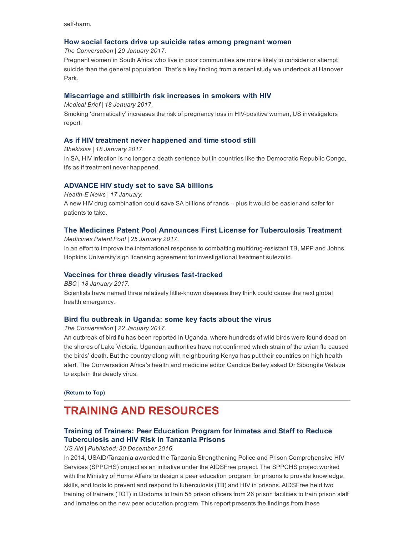self-harm.

## How social factors drive up suicide rates among [pregnant](https://theconversation.com/how-social-factors-drive-up-suicide-rates-among-pregnant-women-71286) women

The Conversation | 20 January 2017.

Pregnant women in South Africa who live in poor communities are more likely to consider or attempt suicide than the general population. That's a key finding from a recent study we undertook at Hanover Park.

### [Miscarriage](http://www.medicalbrief.co.za/archives/miscarriage-stillbirth-risk-increases-smokers-hiv/) and stillbirth risk increases in smokers with HIV

Medical Brief | 18 January 2017.

Smoking 'dramatically' increases the risk of pregnancy loss in HIV-positive women, US investigators report.

### As if HIV treatment never [happened](http://bhekisisa.org/article/2017-01-20-00-west-and-central-africa-as-if-hiv-treatment-never-happened-and-time-stood-still) and time stood still

Bhekisisa | 18 January 2017. In SA, HIV infection is no longer a death sentence but in countries like the Democratic Republic Congo, it's as if treatment never happened.

## [ADVANCE](http://www.hst.org.za/news/advance-hiv-study-set-save-sa-billions) HIV study set to save SA billions

Health-E News | 17 January. A new HIV drug combination could save SA billions of rands – plus it would be easier and safer for patients to take.

## The Medicines Patent Pool Announces First License for [Tuberculosis](http://www.medicinespatentpool.org/the-medicines-patent-pool-announces-first-licence-for-tuberculosis-treatment/) Treatment

Medicines Patent Pool | 25 January 2017. In an effort to improve the international response to combatting multidrug-resistant TB, MPP and Johns Hopkins University sign licensing agreement for investigational treatment sutezolid.

## Vaccines for three deadly viruses fast-tracked

BBC | 18 January 2017. Scientists have named three relatively little-known diseases they think could cause the next global health emergency.

## Bird flu [outbreak](https://theconversation.com/bird-flu-outbreak-in-uganda-some-key-facts-about-the-virus-71492) in Uganda: some key facts about the virus

The Conversation | 22 January 2017.

An outbreak of bird flu has been reported in Uganda, where hundreds of wild birds were found dead on the shores of Lake Victoria. Ugandan authorities have not confirmed which strain of the avian flu caused the birds' death. But the country along with neighbouring Kenya has put their countries on high health alert. The Conversation Africa's health and medicine editor Candice Bailey asked Dr Sibongile Walaza to explain the deadly virus.

[\(Return](#page-0-1) to Top)

# <span id="page-3-0"></span>TRAINING AND RESOURCES

## Training of Trainers: Peer Education Program for Inmates and Staff to Reduce [Tuberculosis](https://aidsfree.usaid.gov/sites/default/files/2016.12.30_tz_tot-report_final_tagged.pdf) and HIV Risk in Tanzania Prisons

US Aid | Published: 30 December 2016.

In 2014, USAID/Tanzania awarded the Tanzania Strengthening Police and Prison Comprehensive HIV Services (SPPCHS) project as an initiative under the AIDSFree project. The SPPCHS project worked with the Ministry of Home Affairs to design a peer education program for prisons to provide knowledge, skills, and tools to prevent and respond to tuberculosis (TB) and HIV in prisons. AIDSFree held two training of trainers (TOT) in Dodoma to train 55 prison officers from 26 prison facilities to train prison staff and inmates on the new peer education program. This report presents the findings from these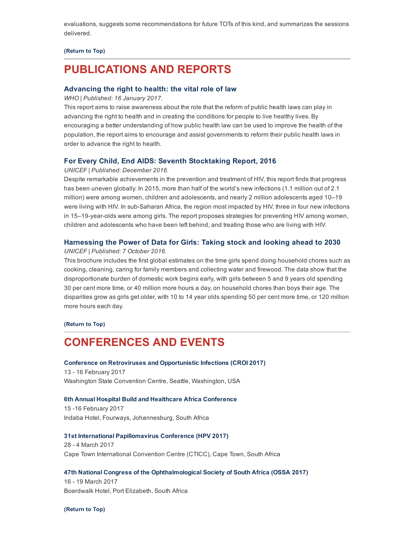evaluations, suggests some recommendations for future TOTs of this kind, and summarizes the sessions delivered.

#### [\(Return](#page-0-1) to Top)

## <span id="page-4-0"></span>PUBLICATIONS AND REPORTS

### [Advancing](http://www.hst.org.za/publications/advancing-right-health-vital-role-law) the right to health: the vital role of law

WHO | Published: 16 January 2017.

This report aims to raise awareness about the role that the reform of public health laws can play in advancing the right to health and in creating the conditions for people to live healthy lives. By encouraging a better understanding of how public health law can be used to improve the health of the population, the report aims to encourage and assist governments to reform their public health laws in order to advance the right to health.

#### For Every Child, End AIDS: Seventh [Stocktaking](http://www.hst.org.za/publications/every-child-end-aids-seventh-stocktaking-report-2016) Report, 2016

#### UNICEF | Published: December 2016.

Despite remarkable achievements in the prevention and treatment of HIV, this report finds that progress has been uneven globally. In 2015, more than half of the world's new infections (1.1 million out of 2.1 million) were among women, children and adolescents, and nearly 2 million adolescents aged 10–19 were living with HIV. In sub-Saharan Africa, the region most impacted by HIV, three in four new infections in 15–19-year-olds were among girls. The report proposes strategies for preventing HIV among women, children and adolescents who have been left behind, and treating those who are living with HIV.

#### [Harnessing](https://data.unicef.org/resources/harnessing-the-power-of-data-for-girls/) the Power of Data for Girls: Taking stock and looking ahead to 2030

#### UNICEF | Published: 7 October 2016.

This brochure includes the first global estimates on the time girls spend doing household chores such as cooking, cleaning, caring for family members and collecting water and firewood. The data show that the disproportionate burden of domestic work begins early, with girls between 5 and 9 years old spending 30 per cent more time, or 40 million more hours a day, on household chores than boys their age. The disparities grow as girls get older, with 10 to 14 year olds spending 50 per cent more time, or 120 million more hours each day.

#### [\(Return](#page-0-1) to Top)

## <span id="page-4-1"></span>CONFERENCES AND EVENTS

#### Conference on Retroviruses and [Opportunistic](http://www.croiconference.org/) Infections (CROI 2017)

13 16 February 2017 Washington State Convention Centre, Seattle, Washington, USA

#### 6th Annual Hospital Build and Healthcare Africa [Conference](http://www.terrapinn.com/conference/world-vaccine-congress-washington/index.stm?_ga=1.51558057.187358455.1482329060)

15 16 February 2017 Indaba Hotel, Fourways, Johannesburg, South Africa

#### 31st International [Papillomavirus](http://hpv2017.org/) Conference (HPV 2017)

28 - 4 March 2017 Cape Town International Convention Centre (CTICC), Cape Town, South Africa

#### 47th National Congress of the [Ophthalmological](http://www.ossa2017.co.za/Documents/ExhibitorsManual.pdf) Society of South Africa (OSSA 2017)

16 19 March 2017 Boardwalk Hotel, Port Elizabeth, South Africa

[\(Return](#page-0-1) to Top)